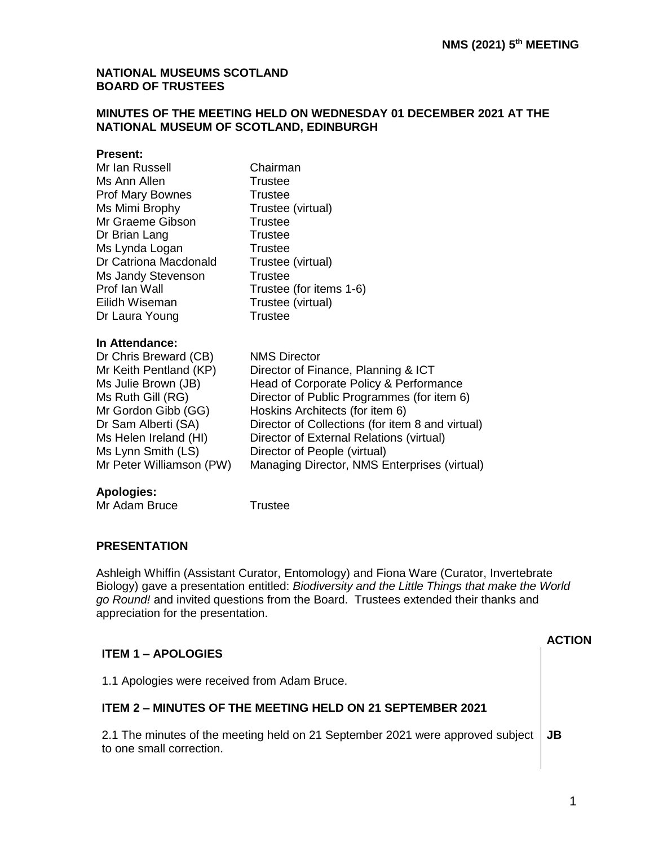#### **NATIONAL MUSEUMS SCOTLAND BOARD OF TRUSTEES**

#### **MINUTES OF THE MEETING HELD ON WEDNESDAY 01 DECEMBER 2021 AT THE NATIONAL MUSEUM OF SCOTLAND, EDINBURGH**

#### **Present:**

| Mr Ian Russell           | Chairman                                         |
|--------------------------|--------------------------------------------------|
| Ms Ann Allen             | Trustee                                          |
| Prof Mary Bownes         | <b>Trustee</b>                                   |
| Ms Mimi Brophy           | Trustee (virtual)                                |
| Mr Graeme Gibson         | <b>Trustee</b>                                   |
| Dr Brian Lang            | <b>Trustee</b>                                   |
| Ms Lynda Logan           | <b>Trustee</b>                                   |
| Dr Catriona Macdonald    | Trustee (virtual)                                |
| Ms Jandy Stevenson       | <b>Trustee</b>                                   |
| Prof Ian Wall            | Trustee (for items 1-6)                          |
| Eilidh Wiseman           | Trustee (virtual)                                |
| Dr Laura Young           | Trustee                                          |
| In Attendance:           |                                                  |
| Dr Chris Breward (CB)    | <b>NMS Director</b>                              |
| Mr Keith Pentland (KP)   | Director of Finance, Planning & ICT              |
| Ms Julie Brown (JB)      | Head of Corporate Policy & Performance           |
| Ms Ruth Gill (RG)        | Director of Public Programmes (for item 6)       |
| Mr Gordon Gibb (GG)      | Hoskins Architects (for item 6)                  |
| Dr Sam Alberti (SA)      | Director of Collections (for item 8 and virtual) |
| Ms Helen Ireland (HI)    | Director of External Relations (virtual)         |
| Ms Lynn Smith (LS)       | Director of People (virtual)                     |
| Mr Peter Williamson (PW) | Managing Director, NMS Enterprises (virtual)     |

### **Apologies:**

Mr Adam Bruce Trustee

#### **PRESENTATION**

Ashleigh Whiffin (Assistant Curator, Entomology) and Fiona Ware (Curator, Invertebrate Biology) gave a presentation entitled: *Biodiversity and the Little Things that make the World go Round!* and invited questions from the Board. Trustees extended their thanks and appreciation for the presentation.

| <b>ITEM 1 – APOLOGIES</b>                                                                                  | ⊺ION |
|------------------------------------------------------------------------------------------------------------|------|
| 1.1 Apologies were received from Adam Bruce.                                                               |      |
| <b>ITEM 2 – MINUTES OF THE MEETING HELD ON 21 SEPTEMBER 2021</b>                                           |      |
| 2.1 The minutes of the meeting held on 21 September 2021 were approved subject<br>to one small correction. | JB   |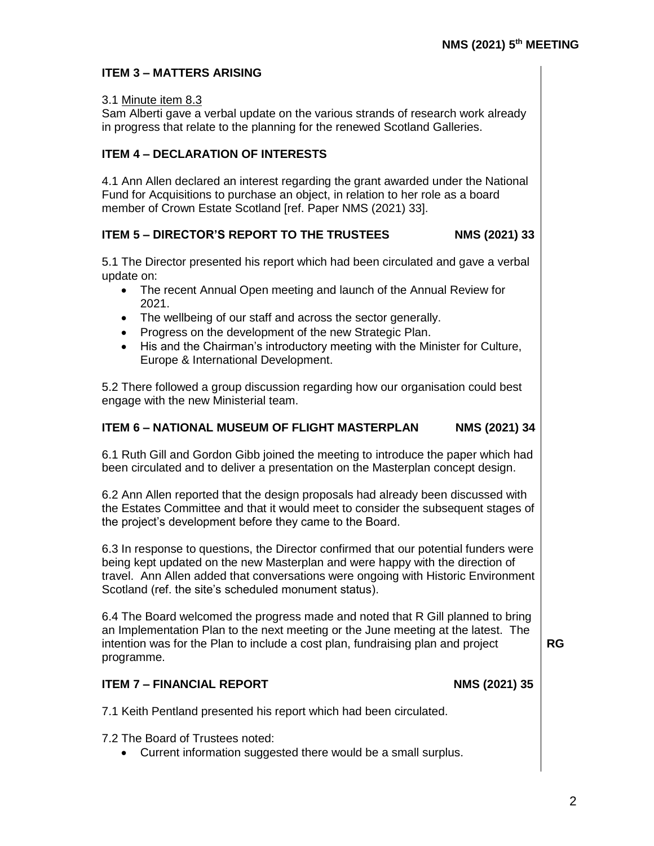### **ITEM 3 – MATTERS ARISING**

#### 3.1 Minute item 8.3

Sam Alberti gave a verbal update on the various strands of research work already in progress that relate to the planning for the renewed Scotland Galleries.

### **ITEM 4 – DECLARATION OF INTERESTS**

4.1 Ann Allen declared an interest regarding the grant awarded under the National Fund for Acquisitions to purchase an object, in relation to her role as a board member of Crown Estate Scotland [ref. Paper NMS (2021) 33].

### **ITEM 5 – DIRECTOR'S REPORT TO THE TRUSTEES NMS (2021) 33**

5.1 The Director presented his report which had been circulated and gave a verbal update on:

- The recent Annual Open meeting and launch of the Annual Review for 2021.
- The wellbeing of our staff and across the sector generally.
- Progress on the development of the new Strategic Plan.
- His and the Chairman's introductory meeting with the Minister for Culture, Europe & International Development.

5.2 There followed a group discussion regarding how our organisation could best engage with the new Ministerial team.

### **ITEM 6 – NATIONAL MUSEUM OF FLIGHT MASTERPLAN NMS (2021) 34**

6.1 Ruth Gill and Gordon Gibb joined the meeting to introduce the paper which had been circulated and to deliver a presentation on the Masterplan concept design.

6.2 Ann Allen reported that the design proposals had already been discussed with the Estates Committee and that it would meet to consider the subsequent stages of the project's development before they came to the Board.

6.3 In response to questions, the Director confirmed that our potential funders were being kept updated on the new Masterplan and were happy with the direction of travel. Ann Allen added that conversations were ongoing with Historic Environment Scotland (ref. the site's scheduled monument status).

6.4 The Board welcomed the progress made and noted that R Gill planned to bring an Implementation Plan to the next meeting or the June meeting at the latest. The intention was for the Plan to include a cost plan, fundraising plan and project programme.

**RG**

## **ITEM 7 – FINANCIAL REPORT NMS (2021) 35**

7.1 Keith Pentland presented his report which had been circulated.

7.2 The Board of Trustees noted:

• Current information suggested there would be a small surplus.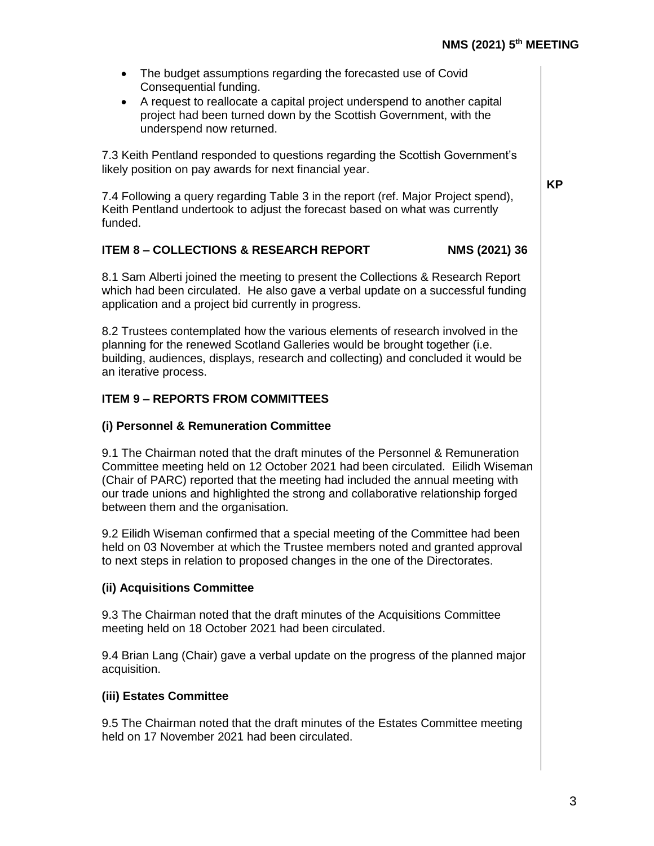**KP**

| The budget assumptions regarding the forecasted use of Covid |                        |
|--------------------------------------------------------------|------------------------|
|                                                              | Consequential funding. |

• A request to reallocate a capital project underspend to another capital project had been turned down by the Scottish Government, with the underspend now returned.

7.3 Keith Pentland responded to questions regarding the Scottish Government's likely position on pay awards for next financial year.

7.4 Following a query regarding Table 3 in the report (ref. Major Project spend), Keith Pentland undertook to adjust the forecast based on what was currently funded.

### **ITEM 8 – COLLECTIONS & RESEARCH REPORT NMS (2021) 36**

8.1 Sam Alberti joined the meeting to present the Collections & Research Report which had been circulated. He also gave a verbal update on a successful funding application and a project bid currently in progress.

8.2 Trustees contemplated how the various elements of research involved in the planning for the renewed Scotland Galleries would be brought together (i.e. building, audiences, displays, research and collecting) and concluded it would be an iterative process.

## **ITEM 9 – REPORTS FROM COMMITTEES**

#### **(i) Personnel & Remuneration Committee**

9.1 The Chairman noted that the draft minutes of the Personnel & Remuneration Committee meeting held on 12 October 2021 had been circulated. Eilidh Wiseman (Chair of PARC) reported that the meeting had included the annual meeting with our trade unions and highlighted the strong and collaborative relationship forged between them and the organisation.

9.2 Eilidh Wiseman confirmed that a special meeting of the Committee had been held on 03 November at which the Trustee members noted and granted approval to next steps in relation to proposed changes in the one of the Directorates.

#### **(ii) Acquisitions Committee**

9.3 The Chairman noted that the draft minutes of the Acquisitions Committee meeting held on 18 October 2021 had been circulated.

9.4 Brian Lang (Chair) gave a verbal update on the progress of the planned major acquisition.

#### **(iii) Estates Committee**

9.5 The Chairman noted that the draft minutes of the Estates Committee meeting held on 17 November 2021 had been circulated.